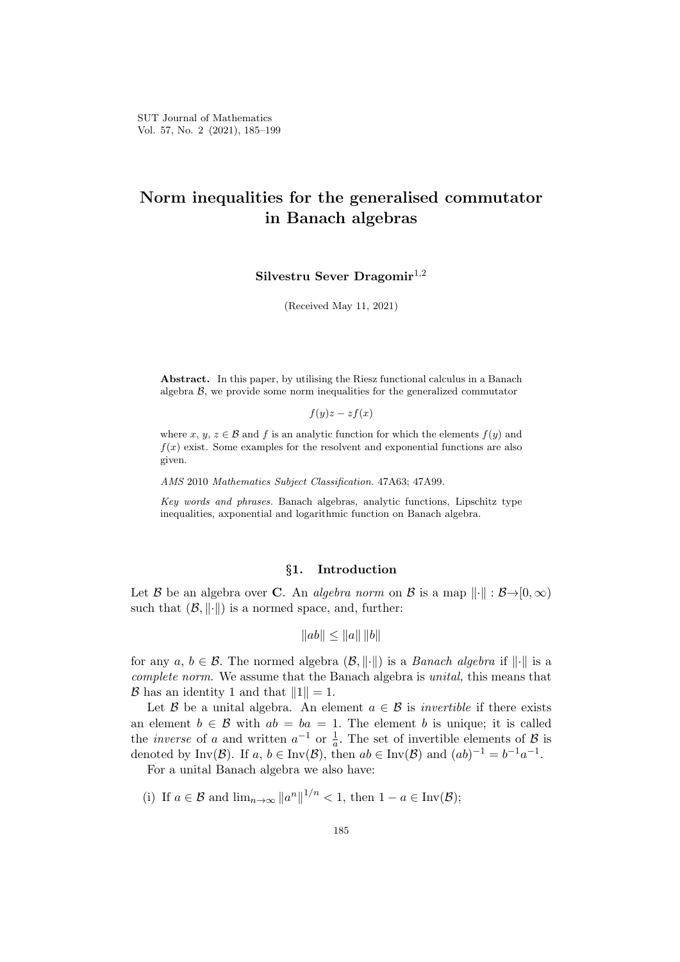# **Norm inequalities for the generalised commutator in Banach algebras**

**Silvestru Sever Dragomir**1*,*<sup>2</sup>

(Received May 11, 2021)

**Abstract.** In this paper, by utilising the Riesz functional calculus in a Banach algebra  $\beta$ , we provide some norm inequalities for the generalized commutator

 $f(y)z - zf(x)$ 

where *x*, *y*, *z*  $\in$  *B* and *f* is an analytic function for which the elements  $f(y)$  and  $f(x)$  exist. Some examples for the resolvent and exponential functions are also given.

*AMS* 2010 *Mathematics Subject Classification.* 47A63; 47A99.

*Key words and phrases.* Banach algebras, analytic functions, Lipschitz type inequalities, axponential and logarithmic function on Banach algebra.

# *§***1. Introduction**

Let *B* be an algebra over **C**. An *algebra norm* on *B* is a map  $\|\cdot\|$  :  $B\rightarrow [0,\infty)$ such that  $(\mathcal{B}, \|\cdot\|)$  is a normed space, and, further:

$$
||ab|| \le ||a|| \, ||b||
$$

for any  $a, b \in \mathcal{B}$ . The normed algebra  $(\mathcal{B}, \|\cdot\|)$  is a *Banach algebra* if  $\|\cdot\|$  is a *complete norm*. We assume that the Banach algebra is *unital,* this means that *B* has an identity 1 and that  $||1|| = 1$ .

Let *B* be a unital algebra. An element  $a \in B$  is *invertible* if there exists an element  $b \in \mathcal{B}$  with  $ab = ba = 1$ . The element *b* is unique; it is called the *inverse* of *a* and written  $a^{-1}$  or  $\frac{1}{a}$ . The set of invertible elements of *B* is denoted by  $\text{Inv}(\mathcal{B})$ . If  $a, b \in \text{Inv}(\mathcal{B})$ , then  $ab \in \text{Inv}(\mathcal{B})$  and  $(ab)^{-1} = b^{-1}a^{-1}$ .

For a unital Banach algebra we also have:

(i) If 
$$
a \in \mathcal{B}
$$
 and  $\lim_{n \to \infty} ||a^n||^{1/n} < 1$ , then  $1 - a \in \text{Inv}(\mathcal{B})$ ;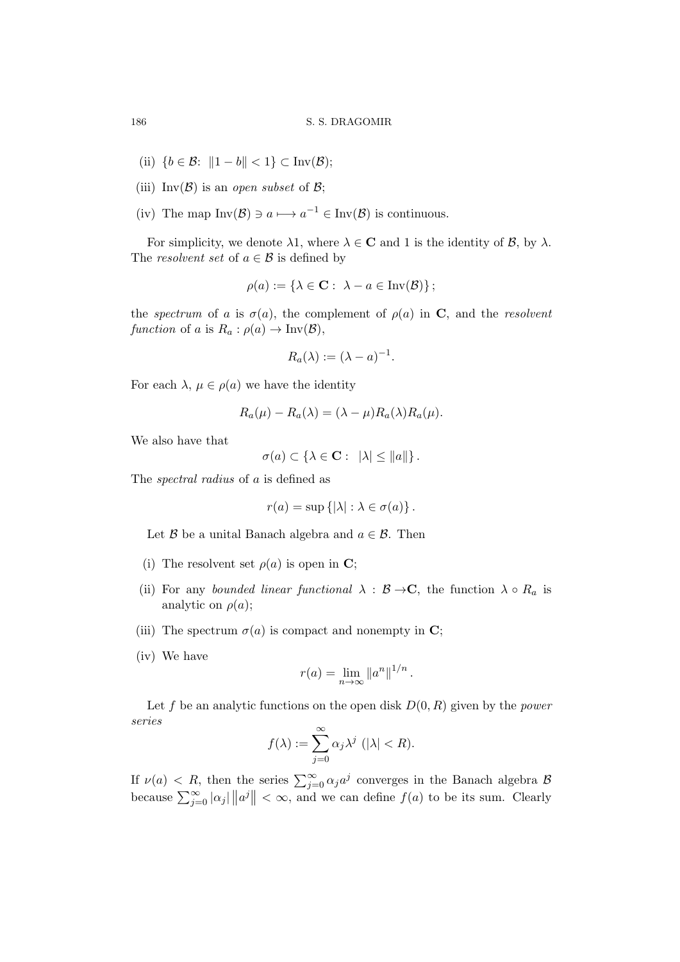- (ii)  ${b \in \mathcal{B}: \|1 b\| < 1}$  ⊂ Inv( $\mathcal{B}$ );
- (iii) Inv $(\mathcal{B})$  is an *open subset* of  $\mathcal{B}$ ;
- (iv) The map  $Inv(\mathcal{B}) \ni a \longmapsto a^{-1} \in Inv(\mathcal{B})$  is continuous.

For simplicity, we denote  $\lambda 1$ , where  $\lambda \in \mathbb{C}$  and 1 is the identity of  $\mathcal{B}$ , by  $\lambda$ . The *resolvent set* of  $a \in \mathcal{B}$  is defined by

$$
\rho(a) := \{ \lambda \in \mathbf{C} : \ \lambda - a \in \text{Inv}(\mathcal{B}) \};
$$

the *spectrum* of *a* is  $\sigma(a)$ , the complement of  $\rho(a)$  in **C**, and the *resolvent function* of *a* is  $R_a: \rho(a) \to \text{Inv}(\mathcal{B}),$ 

$$
R_a(\lambda) := (\lambda - a)^{-1}.
$$

For each  $\lambda, \mu \in \rho(a)$  we have the identity

$$
R_a(\mu) - R_a(\lambda) = (\lambda - \mu)R_a(\lambda)R_a(\mu).
$$

We also have that

$$
\sigma(a) \subset \{\lambda \in \mathbf{C} : \ |\lambda| \leq \|a\|\}.
$$

The *spectral radius* of *a* is defined as

$$
r(a) = \sup\left\{ |\lambda| : \lambda \in \sigma(a) \right\}.
$$

Let *B* be a unital Banach algebra and  $a \in \mathcal{B}$ . Then

- (i) The resolvent set  $\rho(a)$  is open in **C**;
- (ii) For any *bounded linear functional*  $\lambda : \mathcal{B} \to \mathbb{C}$ , the function  $\lambda \circ R_a$  is analytic on  $\rho(a)$ ;
- (iii) The spectrum  $\sigma(a)$  is compact and nonempty in **C**;
- (iv) We have

$$
r(a) = \lim_{n \to \infty} \|a^n\|^{1/n}.
$$

Let *f* be an analytic functions on the open disk *D*(0*, R*) given by the *power series*

$$
f(\lambda) := \sum_{j=0}^{\infty} \alpha_j \lambda^j \ (\|\lambda\| < R).
$$

If  $\nu(a) < R$ , then the series  $\sum_{j=0}^{\infty} \alpha_j a^j$  converges in the Banach algebra  $B$ because  $\sum_{j=0}^{\infty} |\alpha_j| ||a^j|| < \infty$ , and we can define  $f(a)$  to be its sum. Clearly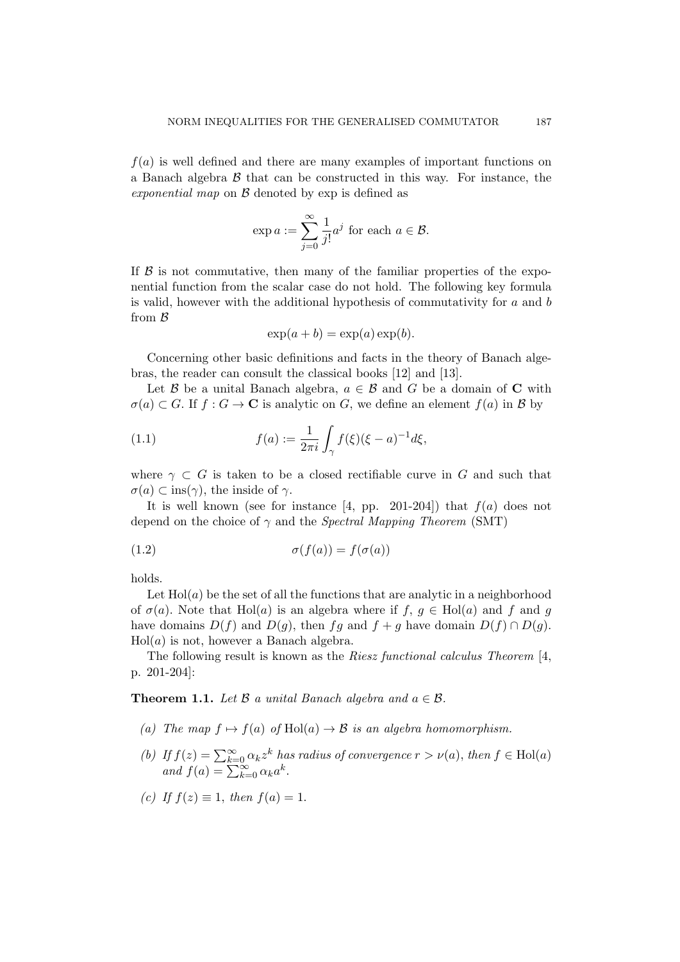*f*(*a*) is well defined and there are many examples of important functions on a Banach algebra *B* that can be constructed in this way. For instance, the *exponential map* on *B* denoted by exp is defined as

$$
\exp a := \sum_{j=0}^{\infty} \frac{1}{j!} a^j \text{ for each } a \in \mathcal{B}.
$$

If  $\beta$  is not commutative, then many of the familiar properties of the exponential function from the scalar case do not hold. The following key formula is valid, however with the additional hypothesis of commutativity for *a* and *b* from *B*

$$
\exp(a+b) = \exp(a)\exp(b).
$$

Concerning other basic definitions and facts in the theory of Banach algebras, the reader can consult the classical books [12] and [13].

Let *B* be a unital Banach algebra,  $a \in B$  and *G* be a domain of **C** with  $\sigma(a) \subset G$ . If  $f : G \to \mathbb{C}$  is analytic on *G*, we define an element  $f(a)$  in *B* by

(1.1) 
$$
f(a) := \frac{1}{2\pi i} \int_{\gamma} f(\xi)(\xi - a)^{-1} d\xi,
$$

where  $\gamma \subset G$  is taken to be a closed rectifiable curve in  $G$  and such that  $\sigma(a) \subset \text{ins}(\gamma)$ , the inside of  $\gamma$ .

It is well known (see for instance  $[4, pp. 201-204]$ ) that  $f(a)$  does not depend on the choice of *γ* and the *Spectral Mapping Theorem* (SMT)

(1.2) 
$$
\sigma(f(a)) = f(\sigma(a))
$$

holds.

Let  $Hol(a)$  be the set of all the functions that are analytic in a neighborhood of  $\sigma(a)$ . Note that Hol(*a*) is an algebra where if  $f, g \in Hol(a)$  and  $f$  and  $g$ have domains  $D(f)$  and  $D(g)$ , then  $fg$  and  $f + g$  have domain  $D(f) \cap D(g)$ . Hol(*a*) is not, however a Banach algebra.

The following result is known as the *Riesz functional calculus Theorem* [4, p. 201-204]:

**Theorem 1.1.** Let  $\beta$  *a* unital Banach algebra and  $a \in \beta$ .

- *(a)* The map  $f \mapsto f(a)$  of  $Hol(a) \to B$  is an algebra homomorphism.
- *(b)* If  $f(z) = \sum_{k=0}^{\infty} \alpha_k z^k$  *has radius of convergence*  $r > \nu(a)$ *, then*  $f \in Hol(a)$  $and f(a) = \sum_{k=0}^{\infty} \alpha_k a^k.$
- *(c) If*  $f(z) ≡ 1$ *, then*  $f(a) = 1$ *.*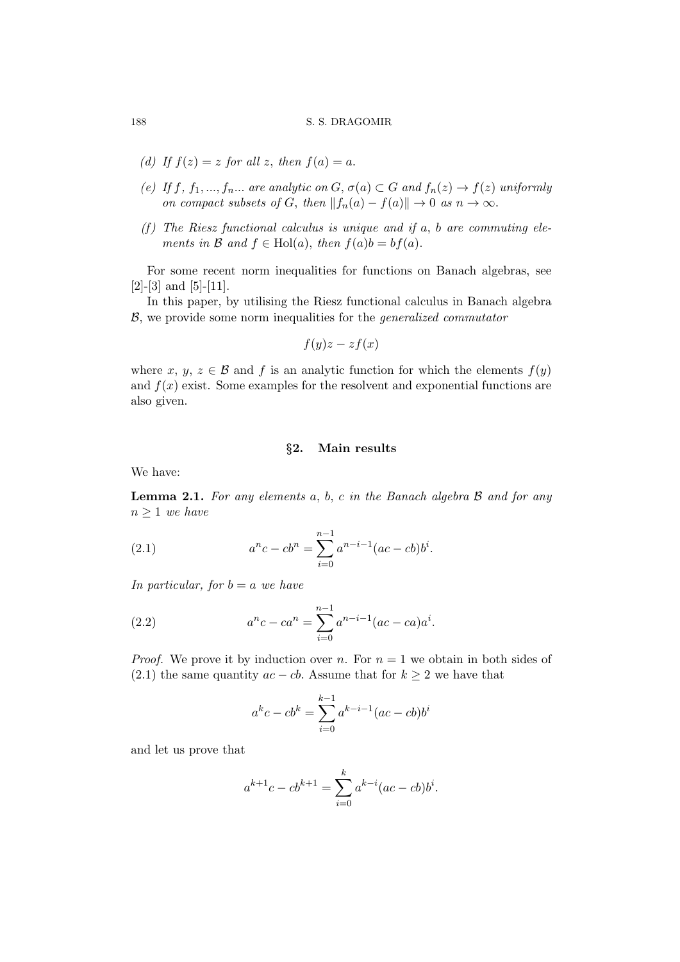#### 188 S. S. DRAGOMIR

- *(d)* If  $f(z) = z$  *for all z, then*  $f(a) = a$ .
- *(e)* If  $f, f_1, \ldots, f_n, \ldots$  are analytic on  $G, \sigma(a) \subset G$  and  $f_n(z) \to f(z)$  uniformly *on compact subsets of G, then*  $||f_n(a) - f(a)|| \to 0$  *as*  $n \to \infty$ *.*
- *(f ) The Riesz functional calculus is unique and if a, b are commuting elements in*  $\mathcal{B}$  *and*  $f \in Hol(a)$ *, then*  $f(a)b = bf(a)$ *.*

For some recent norm inequalities for functions on Banach algebras, see [2]-[3] and [5]-[11].

In this paper, by utilising the Riesz functional calculus in Banach algebra *B*, we provide some norm inequalities for the *generalized commutator*

$$
f(y)z - zf(x)
$$

where *x*, *y*, *z*  $\in$  *B* and *f* is an analytic function for which the elements  $f(y)$ and  $f(x)$  exist. Some examples for the resolvent and exponential functions are also given.

#### *§***2. Main results**

We have:

**Lemma 2.1.** *For any elements a, b, c in the Banach algebra B and for any n ≥* 1 *we have*

(2.1) 
$$
a^{n}c - cb^{n} = \sum_{i=0}^{n-1} a^{n-i-1}(ac - cb)b^{i}.
$$

*In particular, for*  $b = a$  *we have* 

(2.2) 
$$
a^{n}c - ca^{n} = \sum_{i=0}^{n-1} a^{n-i-1} (ac - ca)a^{i}.
$$

*Proof.* We prove it by induction over *n*. For  $n = 1$  we obtain in both sides of (2.1) the same quantity  $ac - cb$ . Assume that for  $k \geq 2$  we have that

$$
a^{k}c - cb^{k} = \sum_{i=0}^{k-1} a^{k-i-1} (ac - cb)b^{i}
$$

and let us prove that

$$
a^{k+1}c - cb^{k+1} = \sum_{i=0}^{k} a^{k-i} (ac - cb)b^{i}.
$$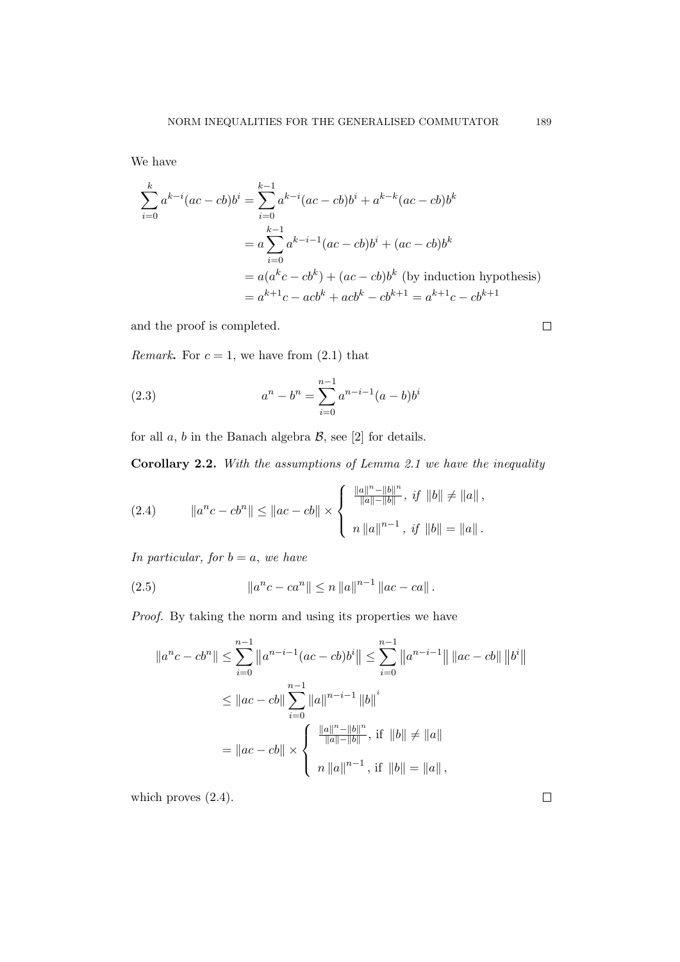We have

$$
\sum_{i=0}^{k} a^{k-i} (ac - cb)b^{i} = \sum_{i=0}^{k-1} a^{k-i} (ac - cb)b^{i} + a^{k-k} (ac - cb)b^{k}
$$

$$
= a \sum_{i=0}^{k-1} a^{k-i-1} (ac - cb)b^{i} + (ac - cb)b^{k}
$$

$$
= a(a^{k}c - cb^{k}) + (ac - cb)b^{k} \text{ (by induction hypothesis)}
$$

$$
= a^{k+1}c - acb^{k} + acb^{k} - cb^{k+1} = a^{k+1}c - cb^{k+1}
$$

and the proof is completed.

*Remark***.** For  $c = 1$ , we have from  $(2.1)$  that

(2.3) 
$$
a^{n} - b^{n} = \sum_{i=0}^{n-1} a^{n-i-1} (a-b)b^{i}
$$

for all  $a, b$  in the Banach algebra  $\mathcal{B}$ , see [2] for details.

**Corollary 2.2.** *With the assumptions of Lemma 2.1 we have the inequality*

(2.4) 
$$
||a^{n}c - cb^{n}|| \leq ||ac - cb|| \times \begin{cases} \frac{||a||^{n} - ||b||^{n}}{||a|| - ||b||}, & \text{if } ||b|| \neq ||a||, \\ n ||a||^{n-1}, & \text{if } ||b|| = ||a||. \end{cases}
$$

*In particular, for*  $b = a$ *, we have* 

(2.5) 
$$
\|a^{n}c - ca^{n}\| \leq n \|a\|^{n-1} \|ac - ca\|.
$$

Proof. By taking the norm and using its properties we have

$$
||a^{n}c - cb^{n}|| \le \sum_{i=0}^{n-1} ||a^{n-i-1}(ac - cb)b^{i}|| \le \sum_{i=0}^{n-1} ||a^{n-i-1}|| \, ||ac - cb|| \, ||b^{i}||
$$
  

$$
\le ||ac - cb|| \sum_{i=0}^{n-1} ||a||^{n-i-1} ||b||^{i}
$$
  

$$
= ||ac - cb|| \times \begin{cases} \frac{||a||^{n} - ||b||^{n}}{||a|| - ||b||}, \text{ if } ||b|| \ne ||a|| \\ n ||a||^{n-1}, \text{ if } ||b|| = ||a||, \end{cases}
$$

which proves  $(2.4)$ .

 $\Box$ 

 $\Box$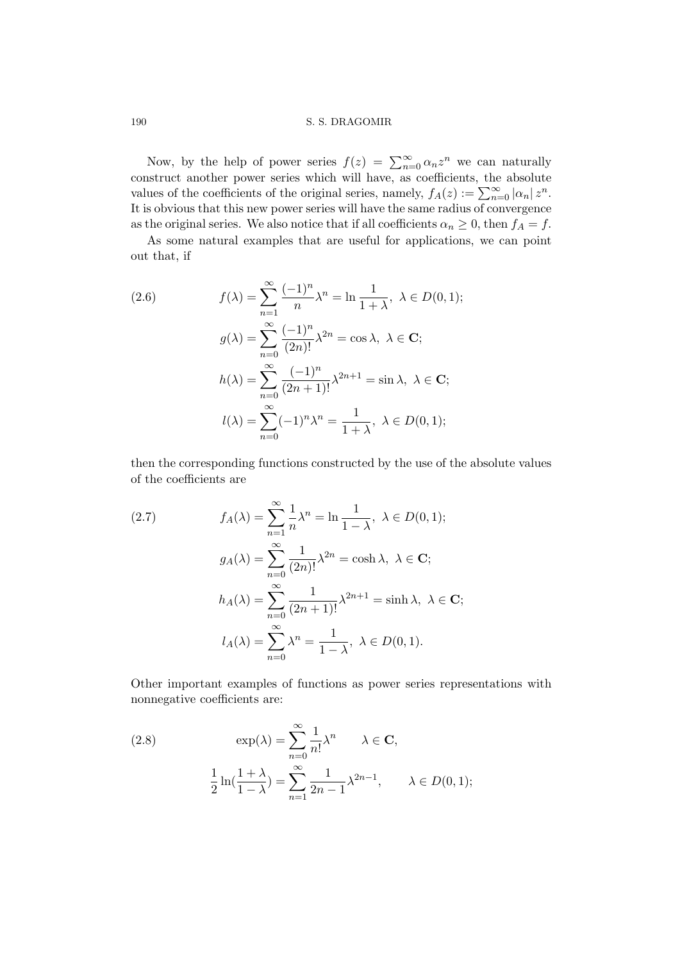#### 190 S. S. DRAGOMIR

Now, by the help of power series  $f(z) = \sum_{n=0}^{\infty} \alpha_n z^n$  we can naturally construct another power series which will have, as coefficients, the absolute values of the coefficients of the original series, namely,  $f_A(z) := \sum_{n=0}^{\infty} |\alpha_n| z^n$ . It is obvious that this new power series will have the same radius of convergence as the original series. We also notice that if all coefficients  $\alpha_n \geq 0$ , then  $f_A = f$ .

As some natural examples that are useful for applications, we can point out that, if

(2.6)  
\n
$$
f(\lambda) = \sum_{n=1}^{\infty} \frac{(-1)^n}{n} \lambda^n = \ln \frac{1}{1+\lambda}, \ \lambda \in D(0,1);
$$
\n
$$
g(\lambda) = \sum_{n=0}^{\infty} \frac{(-1)^n}{(2n)!} \lambda^{2n} = \cos \lambda, \ \lambda \in \mathbf{C};
$$
\n
$$
h(\lambda) = \sum_{n=0}^{\infty} \frac{(-1)^n}{(2n+1)!} \lambda^{2n+1} = \sin \lambda, \ \lambda \in \mathbf{C};
$$
\n
$$
l(\lambda) = \sum_{n=0}^{\infty} (-1)^n \lambda^n = \frac{1}{1+\lambda}, \ \lambda \in D(0,1);
$$

then the corresponding functions constructed by the use of the absolute values of the coefficients are

(2.7) 
$$
f_A(\lambda) = \sum_{n=1}^{\infty} \frac{1}{n} \lambda^n = \ln \frac{1}{1 - \lambda}, \ \lambda \in D(0, 1);
$$

$$
g_A(\lambda) = \sum_{n=0}^{\infty} \frac{1}{(2n)!} \lambda^{2n} = \cosh \lambda, \ \lambda \in \mathbf{C};
$$

$$
h_A(\lambda) = \sum_{n=0}^{\infty} \frac{1}{(2n+1)!} \lambda^{2n+1} = \sinh \lambda, \ \lambda \in \mathbf{C};
$$

$$
l_A(\lambda) = \sum_{n=0}^{\infty} \lambda^n = \frac{1}{1 - \lambda}, \ \lambda \in D(0, 1).
$$

Other important examples of functions as power series representations with nonnegative coefficients are:

(2.8) 
$$
\exp(\lambda) = \sum_{n=0}^{\infty} \frac{1}{n!} \lambda^n \qquad \lambda \in \mathbf{C},
$$

$$
\frac{1}{2} \ln(\frac{1+\lambda}{1-\lambda}) = \sum_{n=1}^{\infty} \frac{1}{2n-1} \lambda^{2n-1}, \qquad \lambda \in D(0,1);
$$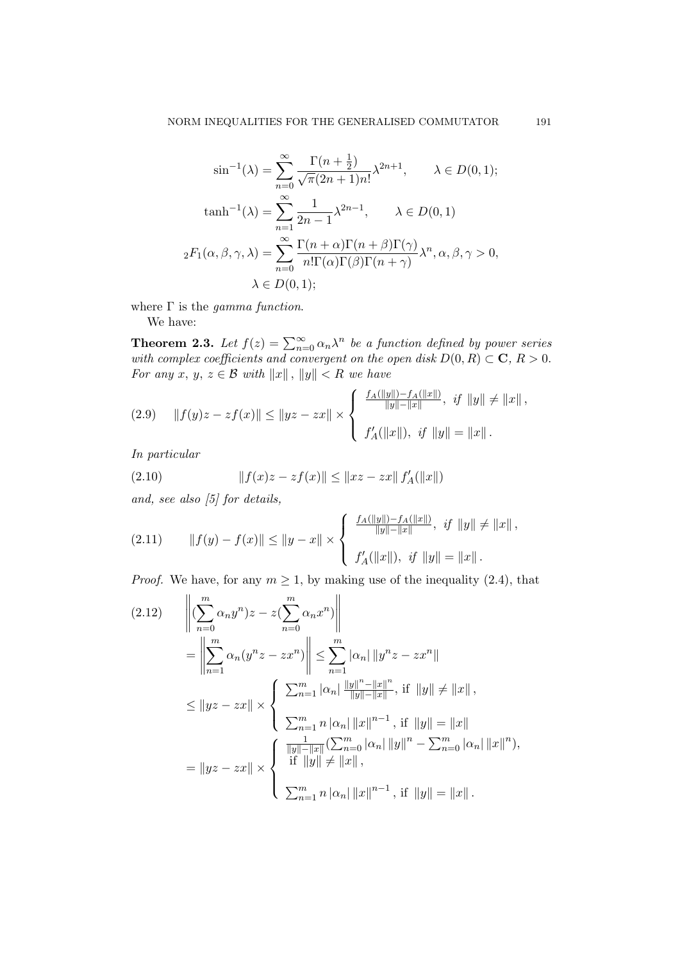$$
\sin^{-1}(\lambda) = \sum_{n=0}^{\infty} \frac{\Gamma(n + \frac{1}{2})}{\sqrt{\pi}(2n + 1)n!} \lambda^{2n+1}, \qquad \lambda \in D(0, 1);
$$

$$
\tanh^{-1}(\lambda) = \sum_{n=1}^{\infty} \frac{1}{2n - 1} \lambda^{2n-1}, \qquad \lambda \in D(0, 1)
$$

$$
{}_2F_1(\alpha, \beta, \gamma, \lambda) = \sum_{n=0}^{\infty} \frac{\Gamma(n + \alpha)\Gamma(n + \beta)\Gamma(\gamma)}{n!\Gamma(\alpha)\Gamma(\beta)\Gamma(n + \gamma)} \lambda^n, \alpha, \beta, \gamma > 0,
$$

$$
\lambda \in D(0, 1);
$$

where Γ is the *gamma function*.

We have:

**Theorem 2.3.** Let  $f(z) = \sum_{n=0}^{\infty} \alpha_n \lambda^n$  be a function defined by power series *with complex coefficients and convergent on the open disk*  $D(0, R) \subset \mathbb{C}$ ,  $R > 0$ . *For any*  $x, y, z \in \mathcal{B}$  *with*  $||x||, ||y|| < R$  *we have* 

$$
(2.9) \quad ||f(y)z - zf(x)|| \le ||yz - zx|| \times \left\{ \begin{array}{l} \frac{f_A(||y||) - f_A(||x||)}{||y|| - ||x||}, & if ||y|| \ne ||x||, \\ f'_A(||x||), & if ||y|| = ||x||. \end{array} \right.
$$

*In particular*

(2.10) 
$$
||f(x)z - zf(x)|| \le ||xz - zx|| f'_{A}(||x||)
$$

*and, see also [5] for details,*

$$
(2.11) \t||f(y) - f(x)|| \le ||y - x|| \times \begin{cases} \frac{f_A(||y||) - f_A(||x||)}{||y|| - ||x||}, & if ||y|| \ne ||x||, \\ f'_A(||x||), & if ||y|| = ||x||. \end{cases}
$$

*Proof.* We have, for any  $m \geq 1$ , by making use of the inequality (2.4), that

$$
(2.12) \qquad \left\| \left( \sum_{n=0}^{m} \alpha_n y^n \right) z - z \left( \sum_{n=0}^{m} \alpha_n x^n \right) \right\|
$$
  
\n
$$
= \left\| \sum_{n=1}^{m} \alpha_n (y^n z - zx^n) \right\| \le \sum_{n=1}^{m} |\alpha_n| \left\| y^n z - zx^n \right\|
$$
  
\n
$$
\le \left\| yz - zx \right\| \times \left\{ \sum_{n=1}^{m} |\alpha_n| \frac{\|y\|^n - \|x\|^n}{\|y\| - \|x\|}, \text{ if } \left\|y\right\| \neq \|x\| \right\},
$$
  
\n
$$
= \left\| yz - zx \right\| \times \left\{ \sum_{n=1}^{m} n |\alpha_n| \left\| x \right\|^{n-1}, \text{ if } \left\| y \right\| = \left\| x \right\| \right.
$$
  
\n
$$
= \left\| yz - zx \right\| \times \left\{ \begin{array}{l} \frac{1}{\|y\| - \|x\|} \left( \sum_{n=0}^{m} |\alpha_n| \left\| y \right\|^n - \sum_{n=0}^{m} |\alpha_n| \left\| x \right\|^n \right), \\ \text{ if } \left\| y \right\| \neq \|x\| \right\}, \\ \sum_{n=1}^{m} n |\alpha_n| \left\| x \right\|^{n-1}, \text{ if } \left\| y \right\| = \left\| x \right\|. \end{array} \right.
$$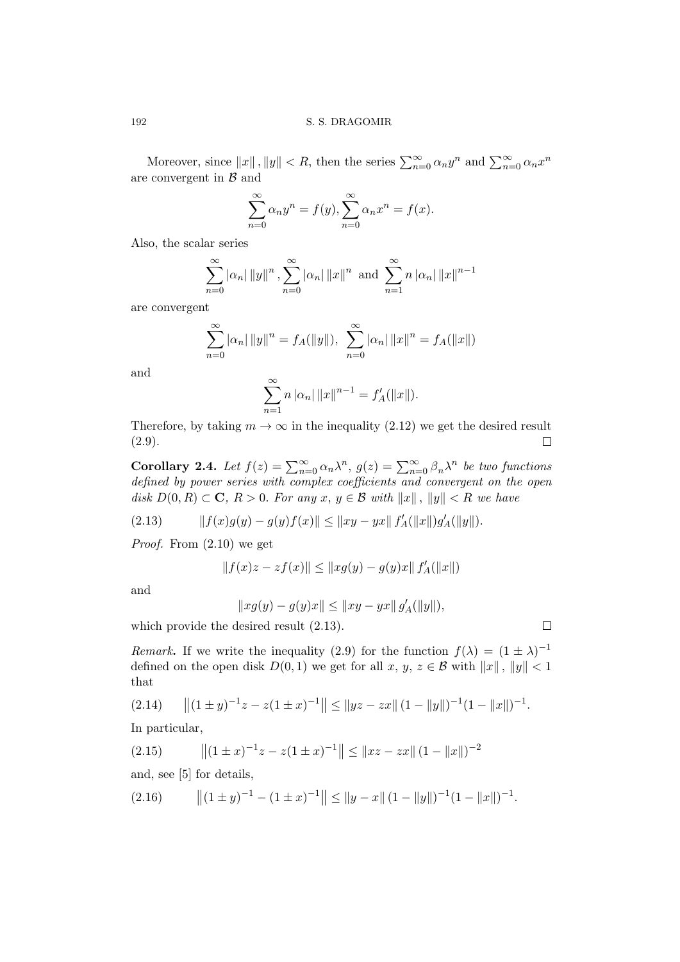Moreover, since  $||x||$ ,  $||y|| < R$ , then the series  $\sum_{n=0}^{\infty} \alpha_n y^n$  and  $\sum_{n=0}^{\infty} \alpha_n x^n$ are convergent in *B* and

$$
\sum_{n=0}^{\infty} \alpha_n y^n = f(y), \sum_{n=0}^{\infty} \alpha_n x^n = f(x).
$$

Also, the scalar series

$$
\sum_{n=0}^{\infty} |\alpha_n| \, ||y||^n \, , \sum_{n=0}^{\infty} |\alpha_n| \, ||x||^n \text{ and } \sum_{n=1}^{\infty} n \, |\alpha_n| \, ||x||^{n-1}
$$

are convergent

$$
\sum_{n=0}^{\infty} |\alpha_n| \, ||y||^n = f_A(||y||), \sum_{n=0}^{\infty} |\alpha_n| \, ||x||^n = f_A(||x||)
$$

and

$$
\sum_{n=1}^{\infty} n |\alpha_n| \|x\|^{n-1} = f'_A(\|x\|).
$$

Therefore, by taking  $m \to \infty$  in the inequality (2.12) we get the desired result (2.9).  $\Box$ 

**Corollary 2.4.** *Let*  $f(z) = \sum_{n=0}^{\infty} \alpha_n \lambda^n$ ,  $g(z) = \sum_{n=0}^{\infty} \beta_n \lambda^n$  *be two functions defined by power series with complex coefficients and convergent on the open disk*  $D(0, R) \subset \mathbb{C}$ ,  $R > 0$ *. For any*  $x, y \in \mathcal{B}$  *with*  $||x||$ ,  $||y|| < R$  *we have* 

$$
(2.13) \t\t\t ||f(x)g(y) - g(y)f(x)|| \le ||xy - yx|| f'_A(||x||)g'_A(||y||).
$$

*Proof.* From (2.10) we get

$$
||f(x)z - zf(x)|| \le ||xg(y) - g(y)x|| f'_{A}(||x||)
$$

and

$$
||xg(y) - g(y)x|| \le ||xy - yx|| g'_A(||y||),
$$

 $\Box$ 

which provide the desired result (2.13).

*Remark***.** If we write the inequality (2.9) for the function  $f(\lambda) = (1 \pm \lambda)^{-1}$ defined on the open disk  $D(0,1)$  we get for all  $x, y, z \in \mathcal{B}$  with  $||x||, ||y|| < 1$ that

$$
(2.14) \qquad \|(1 \pm y)^{-1}z - z(1 \pm x)^{-1}\| \le \|yz - zx\| (1 - \|y\|)^{-1} (1 - \|x\|)^{-1}.
$$

In particular,

$$
(2.15) \t\t ||(1 \pm x)^{-1}z - z(1 \pm x)^{-1}|| \le ||xz - zx|| (1 - ||x||)^{-2}
$$

and, see [5] for details,

$$
(2.16) \qquad \|(1 \pm y)^{-1} - (1 \pm x)^{-1}\| \le \|y - x\| (1 - \|y\|)^{-1} (1 - \|x\|)^{-1}.
$$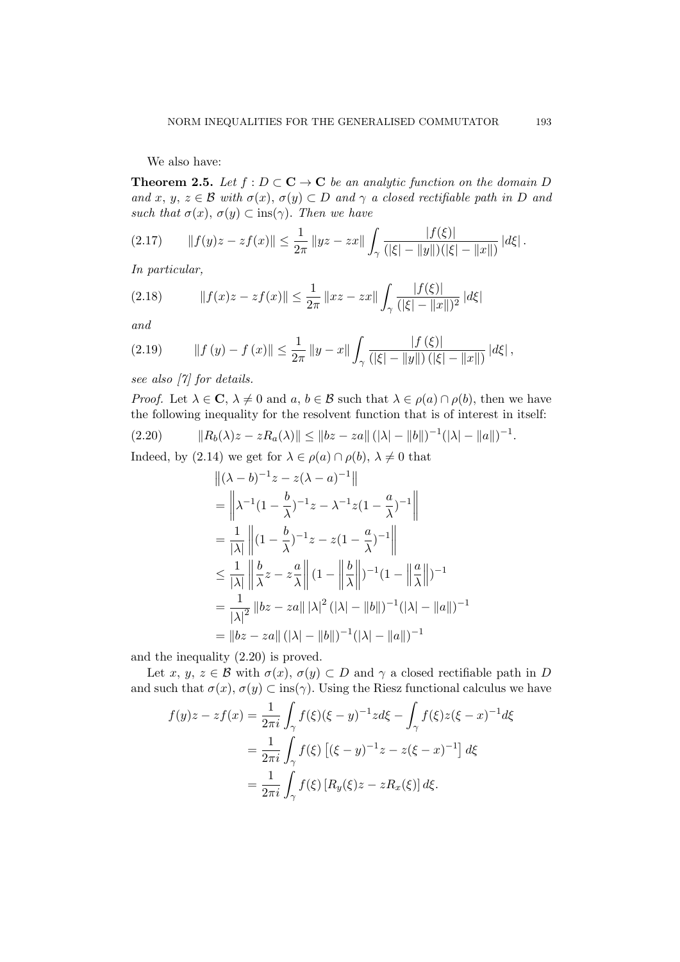We also have:

**Theorem 2.5.** *Let*  $f : D \subset \mathbf{C} \to \mathbf{C}$  *be an analytic function on the domain D and*  $x, y, z \in \mathcal{B}$  *with*  $\sigma(x), \sigma(y) \subset D$  *and*  $\gamma$  *a closed rectifiable path in D and such that*  $\sigma(x)$ ,  $\sigma(y) \subset \text{ins}(\gamma)$ *. Then we have* 

$$
(2.17) \qquad \|f(y)z - zf(x)\| \leq \frac{1}{2\pi} \|yz - zx\| \int_{\gamma} \frac{|f(\xi)|}{(|\xi| - \|y\|)(|\xi| - \|x\|)} |d\xi|.
$$

*In particular,*

$$
(2.18) \t|| f(x)z - zf(x)|| \le \frac{1}{2\pi} ||xz - zx|| \int_{\gamma} \frac{|f(\xi)|}{(|\xi| - ||x||)^2} |d\xi|
$$

*and*

$$
(2.19) \t|| f (y) - f (x)|| \leq \frac{1}{2\pi} || y - x || \int_{\gamma} \frac{|f(\xi)|}{(|\xi| - ||y||) (|\xi| - ||x||)} |d\xi|,
$$

*see also [7] for details.*

*Proof.* Let  $\lambda \in \mathbb{C}$ ,  $\lambda \neq 0$  and  $a, b \in \mathcal{B}$  such that  $\lambda \in \rho(a) \cap \rho(b)$ , then we have the following inequality for the resolvent function that is of interest in itself:

$$
(2.20) \t\t\t ||R_b(\lambda)z - zR_a(\lambda)|| \le ||bz - za|| (|\lambda| - ||b||)^{-1} (|\lambda| - ||a||)^{-1}.
$$

Indeed, by (2.14) we get for  $\lambda \in \rho(a) \cap \rho(b)$ ,  $\lambda \neq 0$  that

$$
\begin{aligned}\n\|(\lambda - b)^{-1}z - z(\lambda - a)^{-1}\| \\
&= \left\| \lambda^{-1} (1 - \frac{b}{\lambda})^{-1} z - \lambda^{-1} z (1 - \frac{a}{\lambda})^{-1} \right\| \\
&= \frac{1}{|\lambda|} \left\| (1 - \frac{b}{\lambda})^{-1} z - z (1 - \frac{a}{\lambda})^{-1} \right\| \\
&\leq \frac{1}{|\lambda|} \left\| \frac{b}{\lambda} z - z \frac{a}{\lambda} \right\| (1 - \left\| \frac{b}{\lambda} \right\|)^{-1} (1 - \left\| \frac{a}{\lambda} \right\|)^{-1} \\
&= \frac{1}{|\lambda|^2} \|bz - za\| |\lambda|^2 (|\lambda| - \|b\|)^{-1} (|\lambda| - \|a\|)^{-1} \\
&= \|bz - za\| (|\lambda| - \|b\|)^{-1} (|\lambda| - \|a\|)^{-1}\n\end{aligned}
$$

and the inequality (2.20) is proved.

Let *x*, *y*, *z*  $\in$  *B* with  $\sigma(x)$ ,  $\sigma(y)$   $\subset$  *D* and  $\gamma$  a closed rectifiable path in *D* and such that  $\sigma(x)$ ,  $\sigma(y) \subset \text{ins}(\gamma)$ . Using the Riesz functional calculus we have

$$
f(y)z - zf(x) = \frac{1}{2\pi i} \int_{\gamma} f(\xi)(\xi - y)^{-1}z d\xi - \int_{\gamma} f(\xi)z(\xi - x)^{-1}d\xi
$$
  
= 
$$
\frac{1}{2\pi i} \int_{\gamma} f(\xi) [(\xi - y)^{-1}z - z(\xi - x)^{-1}] d\xi
$$
  
= 
$$
\frac{1}{2\pi i} \int_{\gamma} f(\xi) [R_y(\xi)z - zR_x(\xi)] d\xi.
$$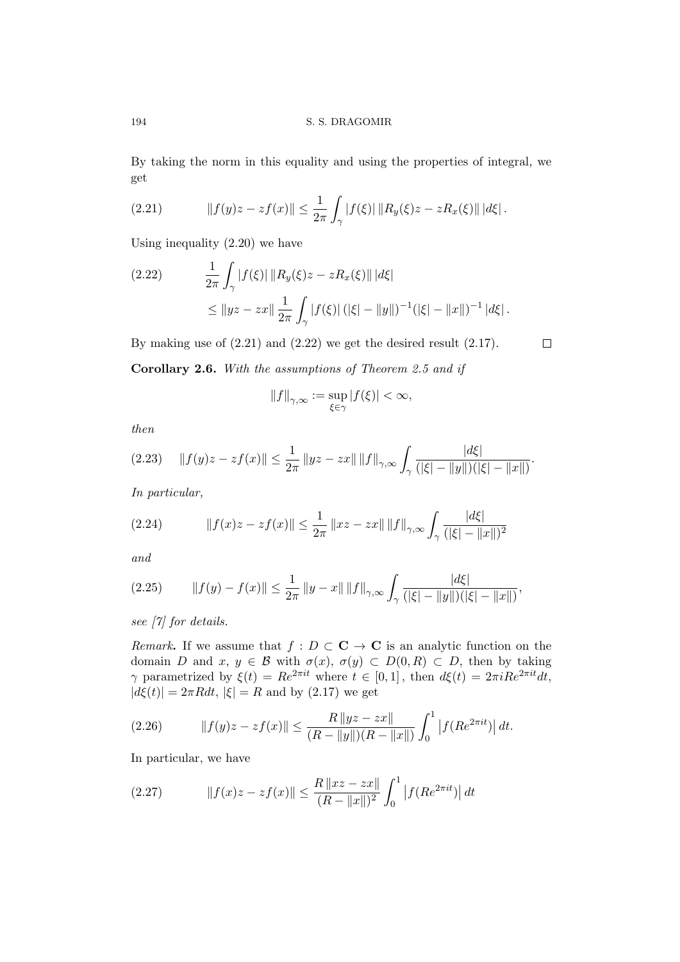By taking the norm in this equality and using the properties of integral, we get

(2.21) 
$$
||f(y)z - zf(x)|| \leq \frac{1}{2\pi} \int_{\gamma} |f(\xi)| ||R_y(\xi)z - zR_x(\xi)|| |d\xi|.
$$

Using inequality (2.20) we have

$$
(2.22) \qquad \frac{1}{2\pi} \int_{\gamma} |f(\xi)| \, \|R_y(\xi)z - zR_x(\xi)\| \, |d\xi|
$$
  

$$
\leq \|yz - zx\| \frac{1}{2\pi} \int_{\gamma} |f(\xi)| \, (|\xi| - \|y\|)^{-1} (|\xi| - \|x\|)^{-1} \, |d\xi|.
$$

By making use of  $(2.21)$  and  $(2.22)$  we get the desired result  $(2.17)$ . **Corollary 2.6.** *With the assumptions of Theorem 2.5 and if*

$$
\left\|f\right\|_{\gamma,\infty}:=\sup_{\xi\in\gamma}|f(\xi)|<\infty,
$$

 $\Box$ 

*then*

$$
(2.23) \quad \|f(y)z - zf(x)\| \leq \frac{1}{2\pi} \|yz - zx\| \|f\|_{\gamma, \infty} \int_{\gamma} \frac{|d\xi|}{(|\xi| - \|y\|)(|\xi| - \|x\|)}.
$$

*In particular,*

$$
(2.24) \t\t\t ||f(x)z - zf(x)|| \le \frac{1}{2\pi} ||xz - zx|| ||f||_{\gamma, \infty} \int_{\gamma} \frac{|d\xi|}{(|\xi| - ||x||)^2}
$$

*and*

$$
(2.25) \t|| f(y) - f(x)|| \le \frac{1}{2\pi} ||y - x|| ||f||_{\gamma, \infty} \int_{\gamma} \frac{|d\xi|}{(|\xi| - ||y||)(|\xi| - ||x||)},
$$

*see [7] for details.*

*Remark*. If we assume that  $f: D \subset \mathbf{C} \to \mathbf{C}$  is an analytic function on the domain *D* and *x*,  $y \in \mathcal{B}$  with  $\sigma(x)$ ,  $\sigma(y) \subset D(0,R) \subset D$ , then by taking *γ* parametrized by  $\xi(t) = Re^{2\pi i t}$  where  $t \in [0,1]$ , then  $d\xi(t) = 2\pi i Re^{2\pi i t} dt$ ,  $|d\xi(t)| = 2\pi R dt$ ,  $|\xi| = R$  and by (2.17) we get

(2.26) 
$$
||f(y)z - zf(x)|| \leq \frac{R ||yz - zx||}{(R - ||y||)(R - ||x||)} \int_0^1 |f(Re^{2\pi i t})| dt.
$$

In particular, we have

(2.27) 
$$
||f(x)z - zf(x)|| \le \frac{R ||xz - zx||}{(R - ||x||)^2} \int_0^1 |f(Re^{2\pi i t})| dt
$$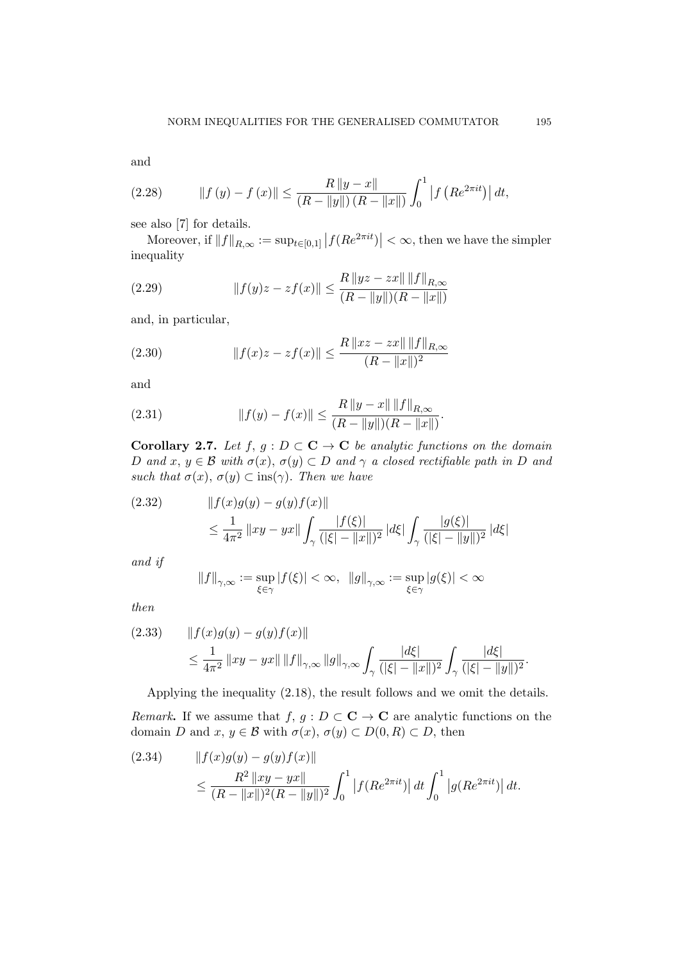and

(2.28) 
$$
||f(y) - f(x)|| \le \frac{R ||y - x||}{(R - ||y||) (R - ||x||)} \int_0^1 |f (Re^{2\pi i t})| dt,
$$

see also [7] for details.

Moreover, if  $||f||_{R,\infty} := \sup_{t \in [0,1]} |f(Re^{2\pi it})| < \infty$ , then we have the simpler inequality

(2.29) 
$$
||f(y)z - zf(x)|| \leq \frac{R ||yz - zx|| ||f||_{R,\infty}}{(R - ||y||)(R - ||x||)}
$$

and, in particular,

(2.30) 
$$
||f(x)z - zf(x)|| \le \frac{R ||xz - zx|| ||f||_{R,\infty}}{(R - ||x||)^2}
$$

and

(2.31) 
$$
||f(y) - f(x)|| \le \frac{R ||y - x|| ||f||_{R,\infty}}{(R - ||y||)(R - ||x||)}.
$$

**Corollary 2.7.** *Let*  $f, g: D \subset \mathbf{C} \to \mathbf{C}$  *be analytic functions on the domain D* and  $x, y \in \mathcal{B}$  with  $\sigma(x), \sigma(y) \subset D$  and  $\gamma$  *a* closed rectifiable path in *D* and *such that*  $\sigma(x)$ ,  $\sigma(y) \subset \text{ins}(\gamma)$ *. Then we have* 

(2.32) 
$$
||f(x)g(y) - g(y)f(x)||
$$
  
\n
$$
\leq \frac{1}{4\pi^2} ||xy - yx|| \int_{\gamma} \frac{|f(\xi)|}{(|\xi| - ||x||)^2} |d\xi| \int_{\gamma} \frac{|g(\xi)|}{(|\xi| - ||y||)^2} |d\xi|
$$

*and if*

$$
\|f\|_{\gamma, \infty}:=\sup_{\xi\in \gamma}|f(\xi)|<\infty, \ \ \|g\|_{\gamma, \infty}:=\sup_{\xi\in \gamma}|g(\xi)|<\infty
$$

*then*

$$
(2.33) \t|| f(x)g(y) - g(y)f(x)||
$$
  

$$
\leq \frac{1}{4\pi^2} ||xy - yx|| ||f||_{\gamma,\infty} ||g||_{\gamma,\infty} \int_{\gamma} \frac{|d\xi|}{(|\xi| - ||x||)^2} \int_{\gamma} \frac{|d\xi|}{(|\xi| - ||y||)^2}.
$$

Applying the inequality (2.18), the result follows and we omit the details.

*Remark*. If we assume that *f, g* :  $D \subset \mathbf{C} \to \mathbf{C}$  are analytic functions on the domain *D* and  $x, y \in \mathcal{B}$  with  $\sigma(x), \sigma(y) \subset D(0, R) \subset D$ , then

(2.34) 
$$
||f(x)g(y) - g(y)f(x)||
$$
  
\n
$$
\leq \frac{R^2 ||xy - yx||}{(R - ||x||)^2 (R - ||y||)^2} \int_0^1 |f(Re^{2\pi i t})| dt \int_0^1 |g(Re^{2\pi i t})| dt.
$$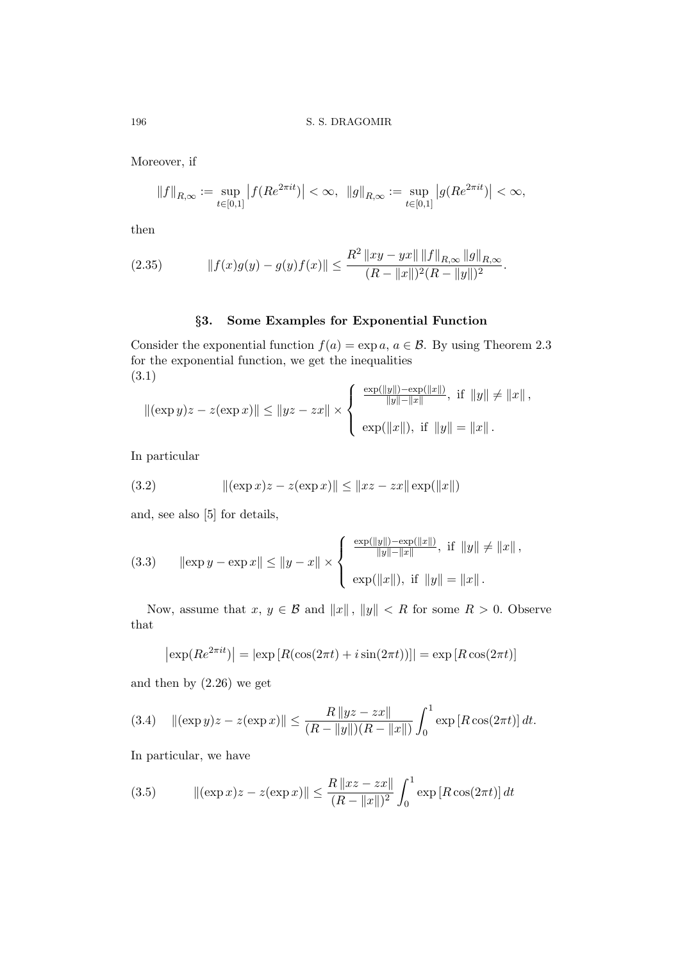Moreover, if

$$
\|f\|_{R,\infty}:=\sup_{t\in[0,1]}\big|f(Re^{2\pi it})\big|<\infty,\ \, \|g\|_{R,\infty}:=\sup_{t\in[0,1]}\big|g(Re^{2\pi it})\big|<\infty,
$$

then

(2.35) 
$$
||f(x)g(y) - g(y)f(x)|| \leq \frac{R^2 ||xy - yx|| ||f||_{R,\infty} ||g||_{R,\infty}}{(R - ||x||)^2 (R - ||y||)^2}.
$$

# *§***3. Some Examples for Exponential Function**

Consider the exponential function  $f(a) = \exp a, a \in \mathcal{B}$ . By using Theorem 2.3 for the exponential function, we get the inequalities (3.1)  $\lambda$ exp(*∥y∥*)*−*exp(*∥x∥*)

$$
\|(\exp y)z - z(\exp x)\| \le \|yz - zx\| \times \left\{\begin{array}{l}\frac{\exp(\|y\|) - \exp(\|x\|)}{\|y\| - \|x\|}, \text{ if } \|y\| \ne \|x\|, \\ \exp(\|x\|), \text{ if } \|y\| = \|x\|.\end{array}\right.
$$

In particular

(3.2) 
$$
\|(\exp x)z - z(\exp x)\| \le \|xz - zx\|\exp(\|x\|)
$$

and, see also [5] for details,

(3.3) 
$$
\|\exp y - \exp x\| \le \|y - x\| \times \begin{cases} \frac{\exp(\|y\|) - \exp(\|x\|)}{\|y\| - \|x\|}, & \text{if } \|y\| \ne \|x\|, \\ \exp(\|x\|), & \text{if } \|y\| = \|x\| \end{cases}
$$

Now, assume that  $x, y \in \mathcal{B}$  and  $||x||, ||y|| < R$  for some  $R > 0$ . Observe that

$$
\left|\exp(Re^{2\pi it})\right| = \left|\exp\left[R(\cos(2\pi t) + i\sin(2\pi t))\right]\right| = \exp\left[R\cos(2\pi t)\right]
$$

and then by (2.26) we get

(3.4) 
$$
\|(\exp y)z - z(\exp x)\| \le \frac{R\|yz - zx\|}{(R - \|y\|)(R - \|x\|)} \int_0^1 \exp[R \cos(2\pi t)] dt.
$$

In particular, we have

(3.5) 
$$
\|(\exp x)z - z(\exp x)\| \le \frac{R \|xz - zx\|}{(R - \|x\|)^2} \int_0^1 \exp[R \cos(2\pi t)] dt
$$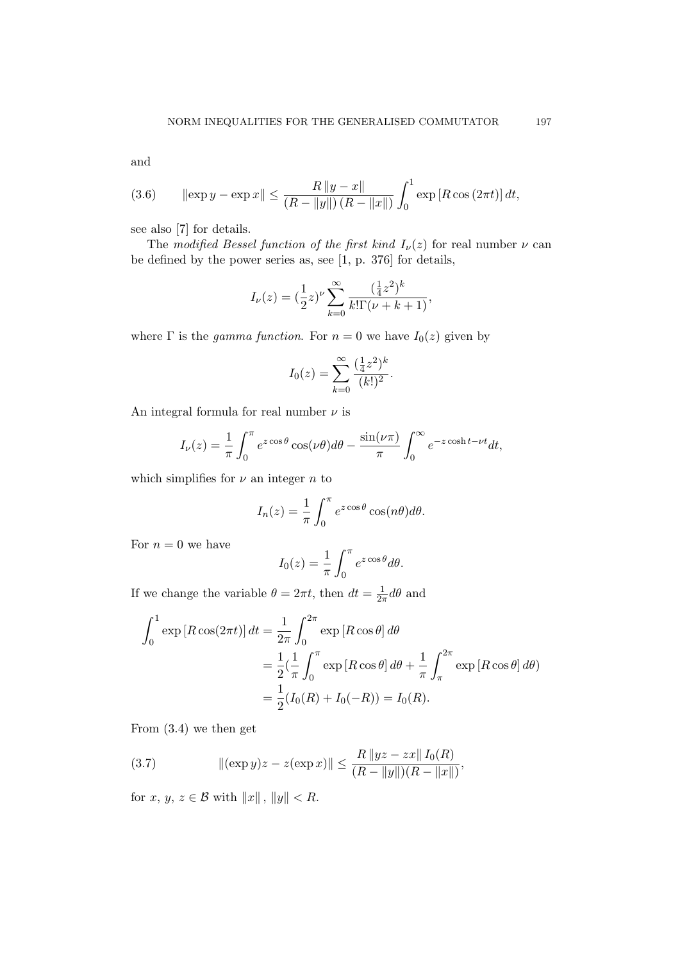and

(3.6) 
$$
\|\exp y - \exp x\| \le \frac{R\|y - x\|}{(R - \|y\|)(R - \|x\|)} \int_0^1 \exp\left[R \cos(2\pi t)\right] dt,
$$

see also [7] for details.

The *modified Bessel function of the first kind*  $I_{\nu}(z)$  for real number  $\nu$  can be defined by the power series as, see [1, p. 376] for details,

$$
I_{\nu}(z) = \left(\frac{1}{2}z\right)^{\nu} \sum_{k=0}^{\infty} \frac{\left(\frac{1}{4}z^2\right)^k}{k!\Gamma(\nu+k+1)},
$$

where  $\Gamma$  is the *gamma function*. For  $n = 0$  we have  $I_0(z)$  given by

$$
I_0(z) = \sum_{k=0}^{\infty} \frac{(\frac{1}{4}z^2)^k}{(k!)^2}.
$$

An integral formula for real number  $\nu$  is

$$
I_{\nu}(z) = \frac{1}{\pi} \int_0^{\pi} e^{z \cos \theta} \cos(\nu \theta) d\theta - \frac{\sin(\nu \pi)}{\pi} \int_0^{\infty} e^{-z \cosh t - \nu t} dt,
$$

which simplifies for  $\nu$  an integer  $n$  to

$$
I_n(z) = \frac{1}{\pi} \int_0^{\pi} e^{z \cos \theta} \cos(n\theta) d\theta.
$$

For  $n = 0$  we have

$$
I_0(z) = \frac{1}{\pi} \int_0^{\pi} e^{z \cos \theta} d\theta.
$$

If we change the variable  $\theta = 2\pi t$ , then  $dt = \frac{1}{2}$  $\frac{1}{2\pi}d\theta$  and

$$
\int_0^1 \exp\left[R\cos(2\pi t)\right] dt = \frac{1}{2\pi} \int_0^{2\pi} \exp\left[R\cos\theta\right] d\theta
$$
  
=  $\frac{1}{2} \left(\frac{1}{\pi} \int_0^{\pi} \exp\left[R\cos\theta\right] d\theta + \frac{1}{\pi} \int_{\pi}^{2\pi} \exp\left[R\cos\theta\right] d\theta\right)$   
=  $\frac{1}{2} (I_0(R) + I_0(-R)) = I_0(R).$ 

From (3.4) we then get

(3.7) 
$$
\|(\exp y)z - z(\exp x)\| \le \frac{R\|yz - zx\|I_0(R)}{(R - \|y\|)(R - \|x\|)},
$$

for *x*,  $y, z \in \mathcal{B}$  with  $||x||, ||y|| < R$ .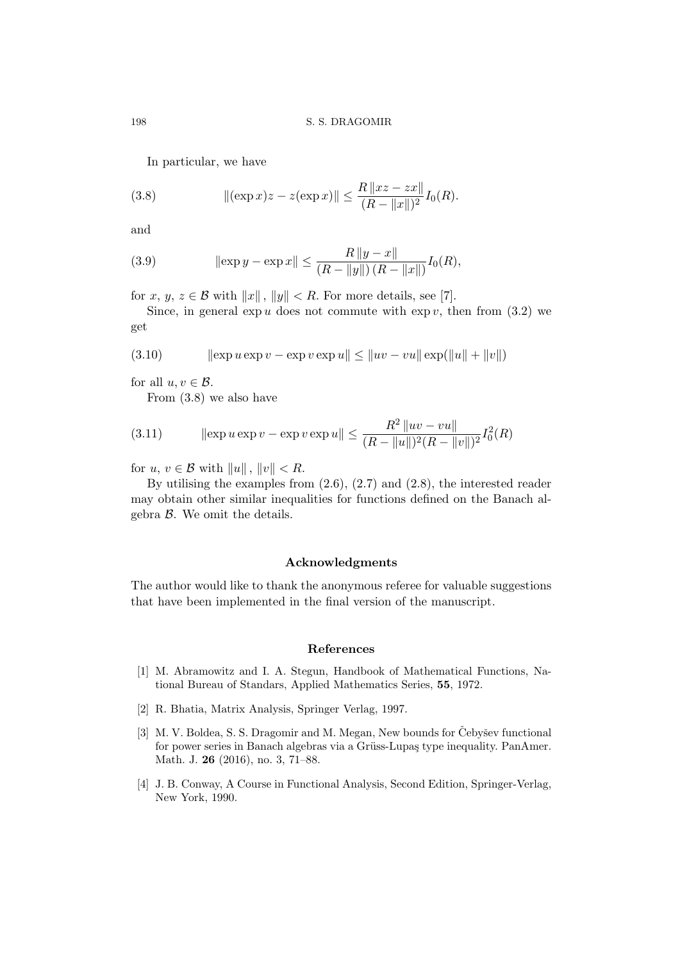In particular, we have

(3.8) 
$$
\|(\exp x)z - z(\exp x)\| \le \frac{R \|xz - zx\|}{(R - \|x\|)^2} I_0(R).
$$

and

(3.9) 
$$
\|\exp y - \exp x\| \le \frac{R\|y - x\|}{(R - \|y\|)(R - \|x\|)} I_0(R),
$$

for *x*, *y*, *z*  $\in$  *B* with  $||x||$ ,  $||y||$   $\leq$  *R*. For more details, see [7].

Since, in general  $\exp u$  does not commute with  $\exp v$ , then from (3.2) we get

(3.10) 
$$
\|\exp u \exp v - \exp v \exp u\| \le \|uv - vu\| \exp(\|u\| + \|v\|)
$$

for all  $u, v \in \mathcal{B}$ .

From (3.8) we also have

(3.11) 
$$
\|\exp u \exp v - \exp v \exp u\| \le \frac{R^2 \|uv - vu\|}{(R - \|u\|)^2 (R - \|v\|)^2} I_0^2(R)
$$

for  $u, v \in \mathcal{B}$  with  $||u||$ ,  $||v|| < R$ .

By utilising the examples from  $(2.6)$ ,  $(2.7)$  and  $(2.8)$ , the interested reader may obtain other similar inequalities for functions defined on the Banach algebra *B*. We omit the details.

## **Acknowledgments**

The author would like to thank the anonymous referee for valuable suggestions that have been implemented in the final version of the manuscript.

## **References**

- [1] M. Abramowitz and I. A. Stegun, Handbook of Mathematical Functions, National Bureau of Standars, Applied Mathematics Series, **55**, 1972.
- [2] R. Bhatia, Matrix Analysis, Springer Verlag, 1997.
- [3] M. V. Boldea, S. S. Dragomir and M. Megan, New bounds for Čebyšev functional for power series in Banach algebras via a Grüss-Lupaş type inequality. PanAmer. Math. J. **26** (2016), no. 3, 71–88.
- [4] J. B. Conway, A Course in Functional Analysis, Second Edition, Springer-Verlag, New York, 1990.